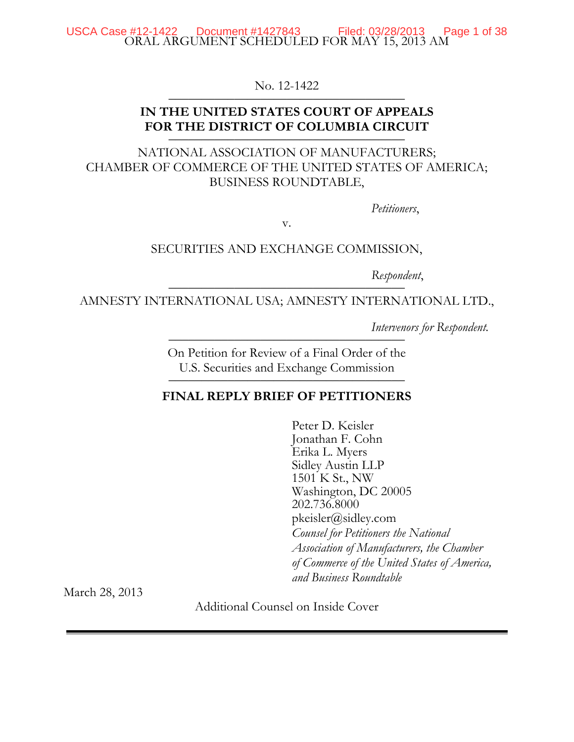ORAL ARGUMENT SCHEDULED FOR MAY 15, 2013 AM USCA Case #12-1422 Document #1427843 Filed: 03/28/2013 Page 1 of 38

No. 12-1422

# **IN THE UNITED STATES COURT OF APPEALS**  FOR THE DISTRICT OF COLUMBIA CIRCUIT

NATIONAL ASSOCIATION OF MANUFACTURERS; CHAMBER OF COMMERCE OF THE UNITED STATES OF AMERICA; BUSINESS ROUNDTABLE,

*Petitioners*,

v.

SECURITIES AND EXCHANGE COMMISSION,

Respondent,

AMNESTY INTERNATIONAL USA; AMNESTY INTERNATIONAL LTD.,

*Intervenors for Respondent.* 

On Petition for Review of a Final Order of the U.S. Securities and Exchange Commission

#### **FINAL REPLY BRIEF OF PETITIONERS**

Peter D. Keisler Jonathan F. Cohn Erika L. Myers Sidley Austin LLP 1501 K St., NW Washington, DC 20005 202.736.8000 pkeisler@sidley.com *Counsel for Petitioners the National Association of Manufacturers, the Chamber of Commerce of the United States of America, and Business Roundtable* 

March 28, 2013

Additional Counsel on Inside Cover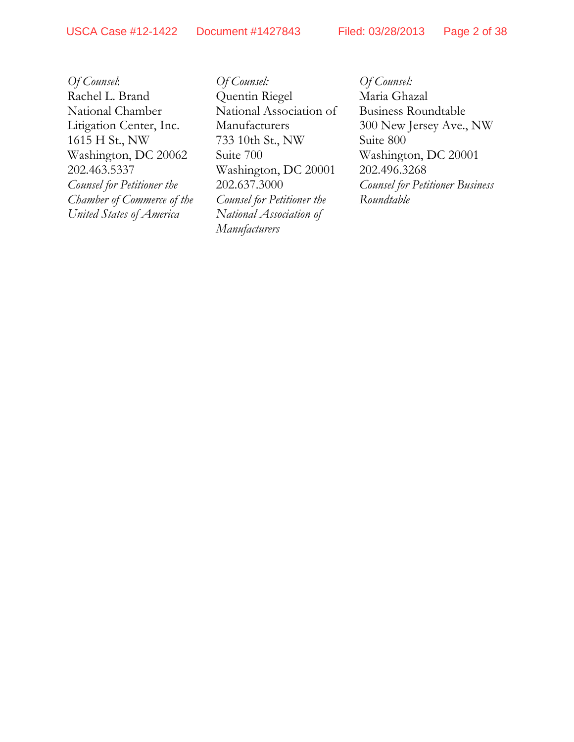*Of Counsel*: Rachel L. Brand National Chamber Litigation Center, Inc. 1615 H St., NW Washington, DC 20062 202.463.5337 *Counsel for Petitioner the Chamber of Commerce of the United States of America* 

*Of Counsel:*  Quentin Riegel National Association of Manufacturers 733 10th St., NW Suite 700 Washington, DC 20001 202.637.3000 *Counsel for Petitioner the National Association of Manufacturers* 

*Of Counsel:*  Maria Ghazal Business Roundtable 300 New Jersey Ave., NW Suite 800 Washington, DC 20001 202.496.3268 *Counsel for Petitioner Business Roundtable*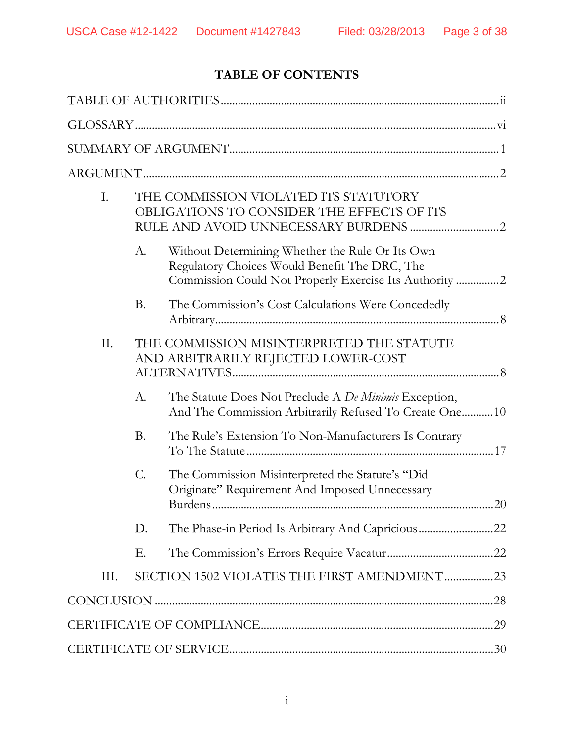# **TABLE OF CONTENTS**

| Ι.   |           | THE COMMISSION VIOLATED ITS STATUTORY<br>OBLIGATIONS TO CONSIDER THE EFFECTS OF ITS                                                                        |
|------|-----------|------------------------------------------------------------------------------------------------------------------------------------------------------------|
|      | A.        | Without Determining Whether the Rule Or Its Own<br>Regulatory Choices Would Benefit The DRC, The<br>Commission Could Not Properly Exercise Its Authority 2 |
|      | <b>B.</b> | The Commission's Cost Calculations Were Concededly                                                                                                         |
| II.  |           | THE COMMISSION MISINTERPRETED THE STATUTE<br>AND ARBITRARILY REJECTED LOWER-COST                                                                           |
|      | $A$ .     | The Statute Does Not Preclude A De Minimis Exception,<br>And The Commission Arbitrarily Refused To Create One10                                            |
|      | <b>B.</b> | The Rule's Extension To Non-Manufacturers Is Contrary                                                                                                      |
|      | C.        | The Commission Misinterpreted the Statute's "Did<br>Originate" Requirement And Imposed Unnecessary                                                         |
|      | D.        |                                                                                                                                                            |
|      | Е.        |                                                                                                                                                            |
| III. |           | SECTION 1502 VIOLATES THE FIRST AMENDMENT23                                                                                                                |
|      |           |                                                                                                                                                            |
|      |           |                                                                                                                                                            |
|      |           |                                                                                                                                                            |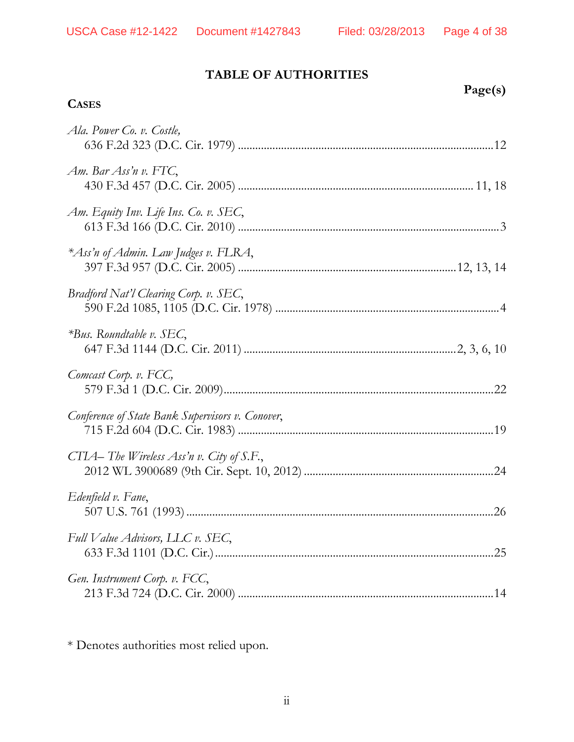# **TABLE OF AUTHORITIES**

# **CASES**

| Page(s) |
|---------|
|         |

| Ala. Power Co. v. Costle,                        |
|--------------------------------------------------|
| Am. Bar Ass'n v. FTC,                            |
| Am. Equity Inv. Life Ins. Co. v. SEC,            |
| *Ass'n of Admin. Law Judges v. FLRA,             |
| Bradford Nat'l Clearing Corp. v. SEC,            |
| $*Bus$ . Roundtable v. SEC,                      |
| Comcast Corp. v. FCC,                            |
| Conference of State Bank Supervisors v. Conover, |
| CTIA-The Wireless Ass'n v. City of S.F.,         |
| Edenfield v. Fane,                               |
| Full Value Advisors, LLC v. SEC,                 |
| Gen. Instrument Corp. v. FCC,                    |

\* Denotes authorities most relied upon.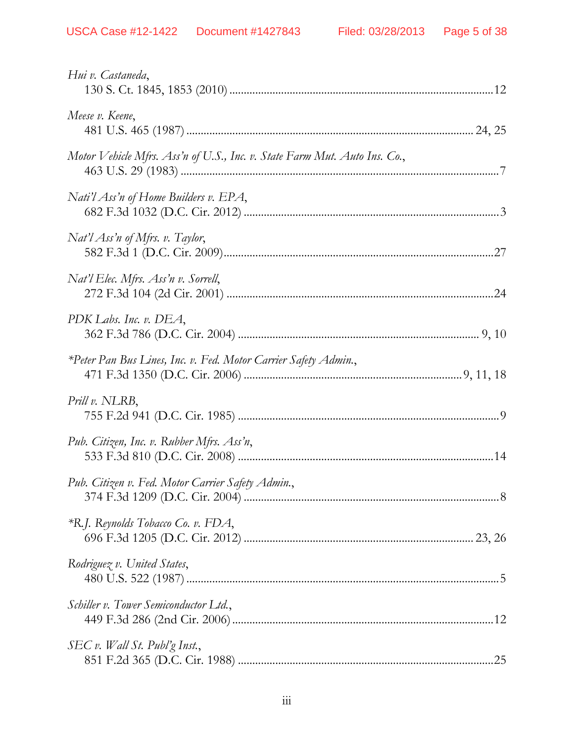| Hui v. Castaneda,                                                         |  |
|---------------------------------------------------------------------------|--|
| Meese v. Keene,                                                           |  |
| Motor Vehicle Mfrs. Ass'n of U.S., Inc. v. State Farm Mut. Auto Ins. Co., |  |
| Nati'l Ass'n of Home Builders v. EPA,                                     |  |
| $Nat'l$ Ass'n of Mfrs. v. Taylor,                                         |  |
| Nat'l Elec. Mfrs. Ass'n v. Sorrell,                                       |  |
| PDK Labs. Inc. v. DEA,                                                    |  |
| *Peter Pan Bus Lines, Inc. v. Fed. Motor Carrier Safety Admin.,           |  |
| Prill v. NLRB,                                                            |  |
| Pub. Citizen, Inc. v. Rubber Mfrs. Ass'n,                                 |  |
| Pub. Citizen v. Fed. Motor Carrier Safety Admin.,                         |  |
| *R.J. Reynolds Tobacco Co. v. FDA,                                        |  |
| Rodriguez v. United States,                                               |  |
| Schiller v. Tower Semiconductor Ltd.,                                     |  |
| SEC v. Wall St. Publ'g Inst.,                                             |  |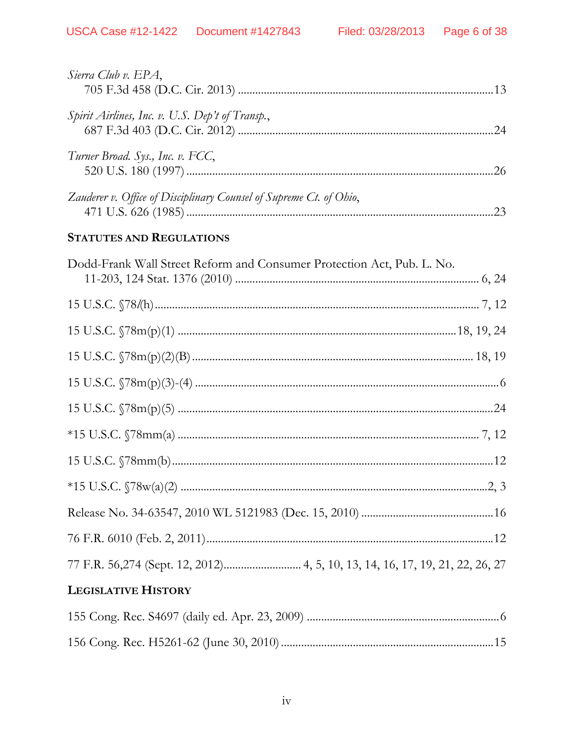| Sierra Club v. EPA,                                                |     |
|--------------------------------------------------------------------|-----|
| Spirit Airlines, Inc. v. U.S. Dep't of Transp.,                    | 24  |
| Turner Broad. Sys., Inc. v. FCC,                                   | .26 |
| Zauderer v. Office of Disciplinary Counsel of Supreme Ct. of Ohio, | 23  |

# **STATUTES AND REGULATIONS**

| Dodd-Frank Wall Street Reform and Consumer Protection Act, Pub. L. No. |  |
|------------------------------------------------------------------------|--|
|                                                                        |  |
|                                                                        |  |
|                                                                        |  |
|                                                                        |  |
|                                                                        |  |
|                                                                        |  |
|                                                                        |  |
|                                                                        |  |
|                                                                        |  |
|                                                                        |  |
|                                                                        |  |
| <b>LEGISLATIVE HISTORY</b>                                             |  |
|                                                                        |  |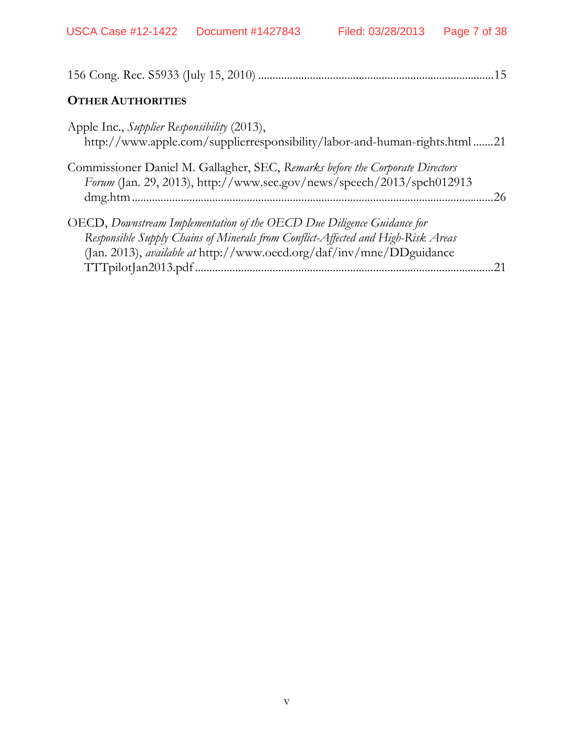|                                                                                                                                                                                                                                           | .15 |
|-------------------------------------------------------------------------------------------------------------------------------------------------------------------------------------------------------------------------------------------|-----|
| <b>OTHER AUTHORITIES</b>                                                                                                                                                                                                                  |     |
| Apple Inc., Supplier Responsibility (2013),<br>http://www.apple.com/supplierresponsibility/labor-and-human-rights.html 21                                                                                                                 |     |
| Commissioner Daniel M. Gallagher, SEC, Remarks before the Corporate Directors<br>Forum (Jan. 29, 2013), http://www.sec.gov/news/speech/2013/spch012913                                                                                    | 26  |
| OECD, Downstream Implementation of the OECD Due Diligence Guidance for<br>Responsible Supply Chains of Minerals from Conflict-Affected and High-Risk Areas<br>(Jan. 2013), <i>available at</i> http://www.oecd.org/daf/inv/mne/DDguidance |     |
| TTTpilotJan2013.pdf.                                                                                                                                                                                                                      |     |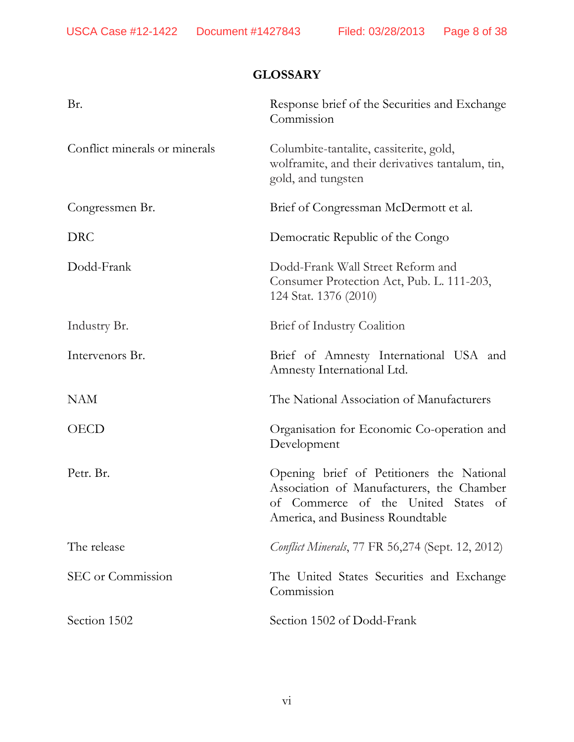# **GLOSSARY**

| Br.                           | Response brief of the Securities and Exchange<br>Commission                                                                                                       |
|-------------------------------|-------------------------------------------------------------------------------------------------------------------------------------------------------------------|
| Conflict minerals or minerals | Columbite-tantalite, cassiterite, gold,<br>wolframite, and their derivatives tantalum, tin,<br>gold, and tungsten                                                 |
| Congressmen Br.               | Brief of Congressman McDermott et al.                                                                                                                             |
| <b>DRC</b>                    | Democratic Republic of the Congo                                                                                                                                  |
| Dodd-Frank                    | Dodd-Frank Wall Street Reform and<br>Consumer Protection Act, Pub. L. 111-203,<br>124 Stat. 1376 (2010)                                                           |
| Industry Br.                  | Brief of Industry Coalition                                                                                                                                       |
| Intervenors Br.               | Brief of Amnesty International USA and<br>Amnesty International Ltd.                                                                                              |
| <b>NAM</b>                    | The National Association of Manufacturers                                                                                                                         |
| <b>OECD</b>                   | Organisation for Economic Co-operation and<br>Development                                                                                                         |
| Petr. Br.                     | Opening brief of Petitioners the National<br>Association of Manufacturers, the Chamber<br>of Commerce of the United States of<br>America, and Business Roundtable |
| The release                   | <i>Conflict Minerals</i> , 77 FR 56,274 (Sept. 12, 2012)                                                                                                          |
| SEC or Commission             | The United States Securities and Exchange<br>Commission                                                                                                           |
| Section 1502                  | Section 1502 of Dodd-Frank                                                                                                                                        |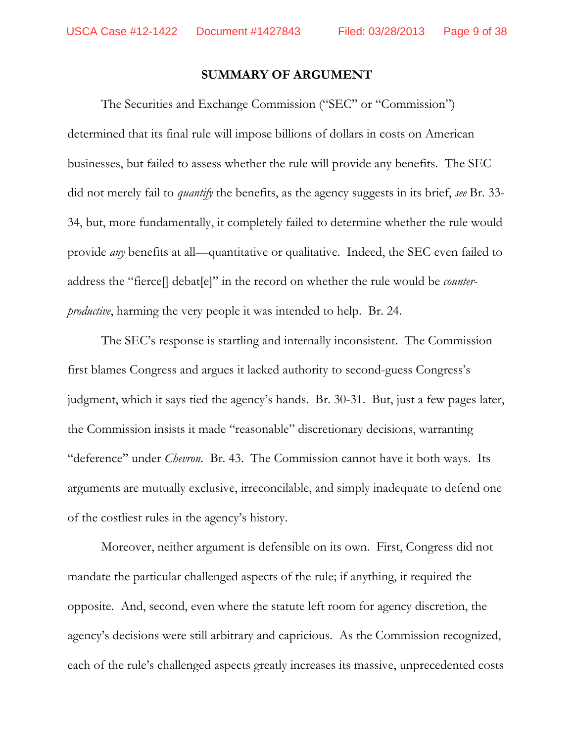#### **SUMMARY OF ARGUMENT**

The Securities and Exchange Commission ("SEC" or "Commission") determined that its final rule will impose billions of dollars in costs on American businesses, but failed to assess whether the rule will provide any benefits. The SEC did not merely fail to *quantify* the benefits, as the agency suggests in its brief, *see* Br. 33- 34, but, more fundamentally, it completely failed to determine whether the rule would provide *any* benefits at all—quantitative or qualitative. Indeed, the SEC even failed to address the "fierce[] debat[e]" in the record on whether the rule would be *counterproductive*, harming the very people it was intended to help. Br. 24.

The SEC's response is startling and internally inconsistent. The Commission first blames Congress and argues it lacked authority to second-guess Congress's judgment, which it says tied the agency's hands. Br. 30-31. But, just a few pages later, the Commission insists it made "reasonable" discretionary decisions, warranting "deference" under *Chevron*. Br. 43.The Commission cannot have it both ways. Its arguments are mutually exclusive, irreconcilable, and simply inadequate to defend one of the costliest rules in the agency's history.

Moreover, neither argument is defensible on its own. First, Congress did not mandate the particular challenged aspects of the rule; if anything, it required the opposite. And, second, even where the statute left room for agency discretion, the agency's decisions were still arbitrary and capricious. As the Commission recognized, each of the rule's challenged aspects greatly increases its massive, unprecedented costs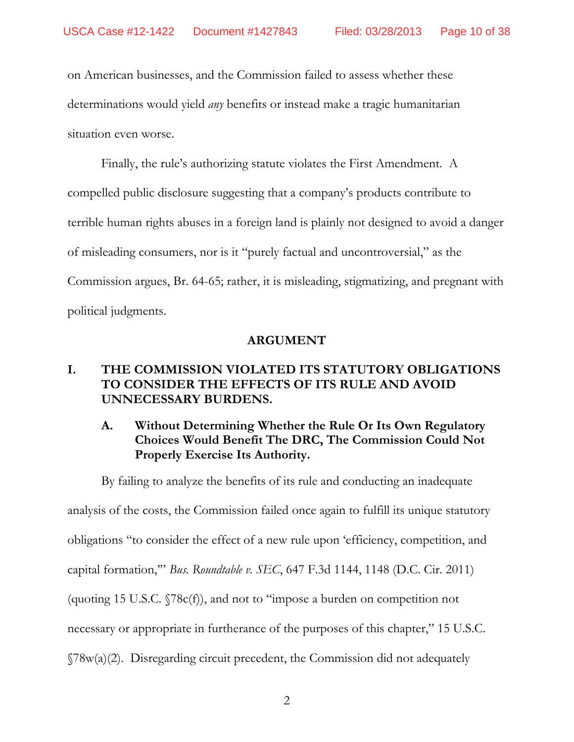on American businesses, and the Commission failed to assess whether these determinations would yield *any* benefits or instead make a tragic humanitarian situation even worse.

Finally, the rule's authorizing statute violates the First Amendment. A compelled public disclosure suggesting that a company's products contribute to terrible human rights abuses in a foreign land is plainly not designed to avoid a danger of misleading consumers, nor is it "purely factual and uncontroversial," as the Commission argues, Br. 64-65; rather, it is misleading, stigmatizing, and pregnant with political judgments.

#### **ARGUMENT**

# **I. THE COMMISSION VIOLATED ITS STATUTORY OBLIGATIONS TO CONSIDER THE EFFECTS OF ITS RULE AND AVOID UNNECESSARY BURDENS.**

# **A. Without Determining Whether the Rule Or Its Own Regulatory Choices Would Benefit The DRC, The Commission Could Not Properly Exercise Its Authority.**

By failing to analyze the benefits of its rule and conducting an inadequate analysis of the costs, the Commission failed once again to fulfill its unique statutory obligations "to consider the effect of a new rule upon 'efficiency, competition, and capital formation,'" *Bus. Roundtable v. SEC*, 647 F.3d 1144, 1148 (D.C. Cir. 2011) (quoting 15 U.S.C. §78c(f)), and not to "impose a burden on competition not necessary or appropriate in furtherance of the purposes of this chapter," 15 U.S.C. §78w(a)(2). Disregarding circuit precedent, the Commission did not adequately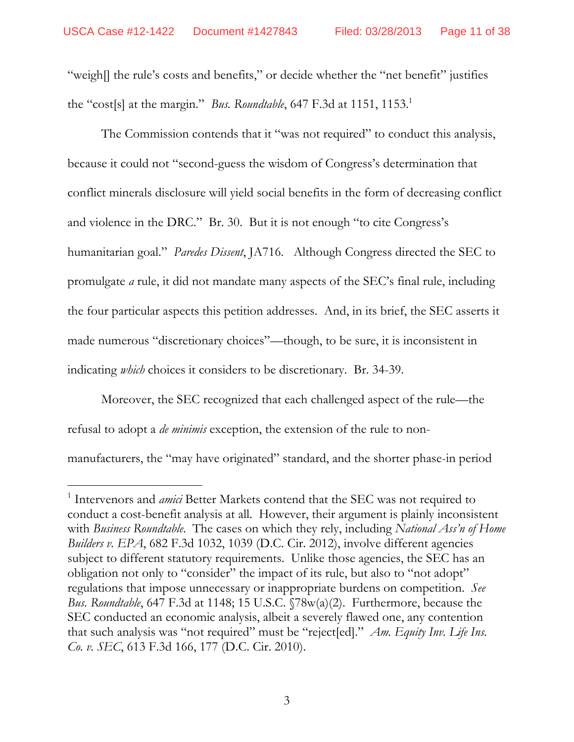"weigh[] the rule's costs and benefits," or decide whether the "net benefit" justifies the "cost[s] at the margin." *Bus. Roundtable*, 647 F.3d at 1151, 1153.<sup>1</sup>

The Commission contends that it "was not required" to conduct this analysis, because it could not "second-guess the wisdom of Congress's determination that conflict minerals disclosure will yield social benefits in the form of decreasing conflict and violence in the DRC." Br. 30. But it is not enough "to cite Congress's humanitarian goal." *Paredes Dissent*, JA716. Although Congress directed the SEC to promulgate *a* rule, it did not mandate many aspects of the SEC's final rule, including the four particular aspects this petition addresses. And, in its brief, the SEC asserts it made numerous "discretionary choices"—though, to be sure, it is inconsistent in indicating *which* choices it considers to be discretionary. Br. 34-39.

Moreover, the SEC recognized that each challenged aspect of the rule—the refusal to adopt a *de minimis* exception, the extension of the rule to nonmanufacturers, the "may have originated" standard, and the shorter phase-in period

 $\overline{a}$ 

<sup>&</sup>lt;sup>1</sup> Intervenors and *amici* Better Markets contend that the SEC was not required to conduct a cost-benefit analysis at all. However, their argument is plainly inconsistent with *Business Roundtable*. The cases on which they rely, including *National Ass'n of Home Builders v. EPA*, 682 F.3d 1032, 1039 (D.C. Cir. 2012), involve different agencies subject to different statutory requirements. Unlike those agencies, the SEC has an obligation not only to "consider" the impact of its rule, but also to "not adopt" regulations that impose unnecessary or inappropriate burdens on competition. *See Bus. Roundtable*, 647 F.3d at 1148; 15 U.S.C. §78w(a)(2). Furthermore, because the SEC conducted an economic analysis, albeit a severely flawed one, any contention that such analysis was "not required" must be "reject[ed]." *Am. Equity Inv. Life Ins. Co. v. SEC*, 613 F.3d 166, 177 (D.C. Cir. 2010).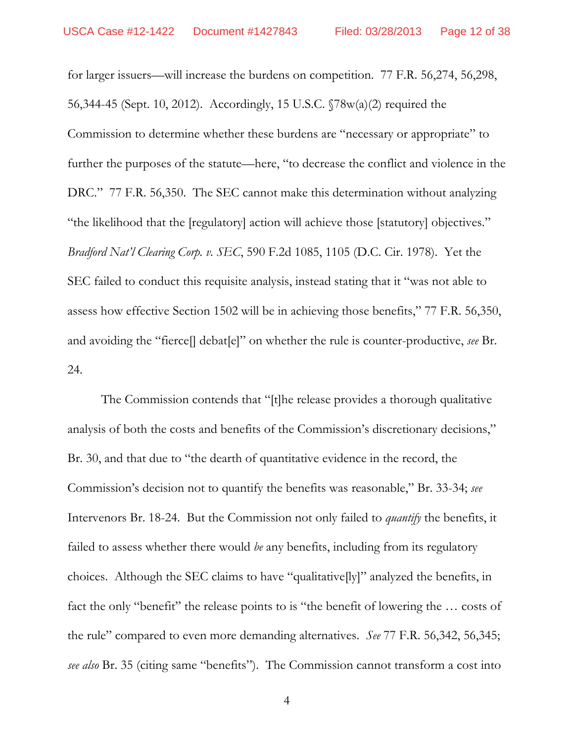for larger issuers—will increase the burdens on competition. 77 F.R. 56,274, 56,298, 56,344-45 (Sept. 10, 2012). Accordingly, 15 U.S.C. §78w(a)(2) required the Commission to determine whether these burdens are "necessary or appropriate" to further the purposes of the statute—here, "to decrease the conflict and violence in the DRC." 77 F.R. 56,350. The SEC cannot make this determination without analyzing "the likelihood that the [regulatory] action will achieve those [statutory] objectives." *Bradford Nat'l Clearing Corp. v. SEC*, 590 F.2d 1085, 1105 (D.C. Cir. 1978). Yet the SEC failed to conduct this requisite analysis, instead stating that it "was not able to assess how effective Section 1502 will be in achieving those benefits," 77 F.R. 56,350, and avoiding the "fierce[] debat[e]" on whether the rule is counter-productive, *see* Br. 24.

The Commission contends that "[t]he release provides a thorough qualitative analysis of both the costs and benefits of the Commission's discretionary decisions," Br. 30, and that due to "the dearth of quantitative evidence in the record, the Commission's decision not to quantify the benefits was reasonable," Br. 33-34; *see*  Intervenors Br. 18-24. But the Commission not only failed to *quantify* the benefits, it failed to assess whether there would *be* any benefits, including from its regulatory choices. Although the SEC claims to have "qualitative[ly]" analyzed the benefits, in fact the only "benefit" the release points to is "the benefit of lowering the ... costs of the rule" compared to even more demanding alternatives. *See* 77 F.R. 56,342, 56,345; *see also* Br. 35 (citing same "benefits"). The Commission cannot transform a cost into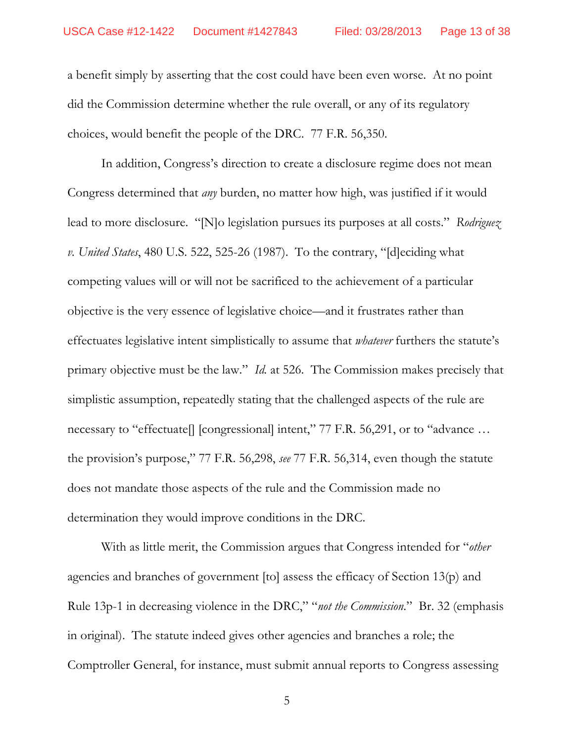a benefit simply by asserting that the cost could have been even worse. At no point did the Commission determine whether the rule overall, or any of its regulatory choices, would benefit the people of the DRC. 77 F.R. 56,350.

In addition, Congress's direction to create a disclosure regime does not mean Congress determined that *any* burden, no matter how high, was justified if it would lead to more disclosure. "[N]o legislation pursues its purposes at all costs." *Rodriguez v. United States*, 480 U.S. 522, 525-26 (1987). To the contrary, "[d]eciding what competing values will or will not be sacrificed to the achievement of a particular objective is the very essence of legislative choice—and it frustrates rather than effectuates legislative intent simplistically to assume that *whatever* furthers the statute's primary objective must be the law." *Id.* at 526. The Commission makes precisely that simplistic assumption, repeatedly stating that the challenged aspects of the rule are necessary to "effectuate[] [congressional] intent," 77 F.R. 56,291, or to "advance ... the provision's purpose," 77 F.R. 56,298, *see* 77 F.R. 56,314, even though the statute does not mandate those aspects of the rule and the Commission made no determination they would improve conditions in the DRC.

With as little merit, the Commission argues that Congress intended for "*other* agencies and branches of government [to] assess the efficacy of Section 13(p) and Rule 13p-1 in decreasing violence in the DRC," "*not the Commission*." Br. 32 (emphasis in original). The statute indeed gives other agencies and branches a role; the Comptroller General, for instance, must submit annual reports to Congress assessing

5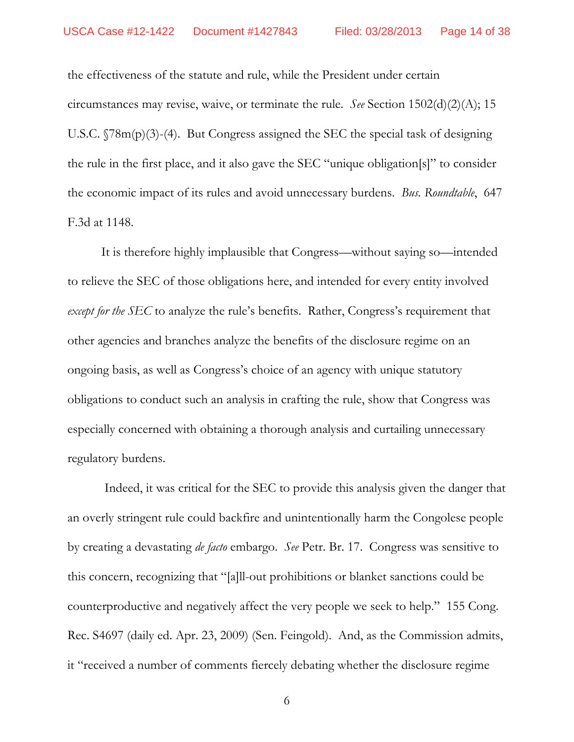the effectiveness of the statute and rule, while the President under certain circumstances may revise, waive, or terminate the rule. *See* Section 1502(d)(2)(A); 15 U.S.C. §78m(p)(3)-(4). But Congress assigned the SEC the special task of designing the rule in the first place, and it also gave the SEC "unique obligation[s]" to consider the economic impact of its rules and avoid unnecessary burdens. *Bus. Roundtable*, 647 F.3d at 1148.

It is therefore highly implausible that Congress—without saying so—intended to relieve the SEC of those obligations here, and intended for every entity involved *except for the SEC* to analyze the rule's benefits. Rather, Congress's requirement that other agencies and branches analyze the benefits of the disclosure regime on an ongoing basis, as well as Congress's choice of an agency with unique statutory obligations to conduct such an analysis in crafting the rule, show that Congress was especially concerned with obtaining a thorough analysis and curtailing unnecessary regulatory burdens.

 Indeed, it was critical for the SEC to provide this analysis given the danger that an overly stringent rule could backfire and unintentionally harm the Congolese people by creating a devastating *de facto* embargo. *See* Petr. Br. 17. Congress was sensitive to this concern, recognizing that "[a]ll-out prohibitions or blanket sanctions could be counterproductive and negatively affect the very people we seek to help." 155 Cong. Rec. S4697 (daily ed. Apr. 23, 2009) (Sen. Feingold). And, as the Commission admits, it "received a number of comments fiercely debating whether the disclosure regime

6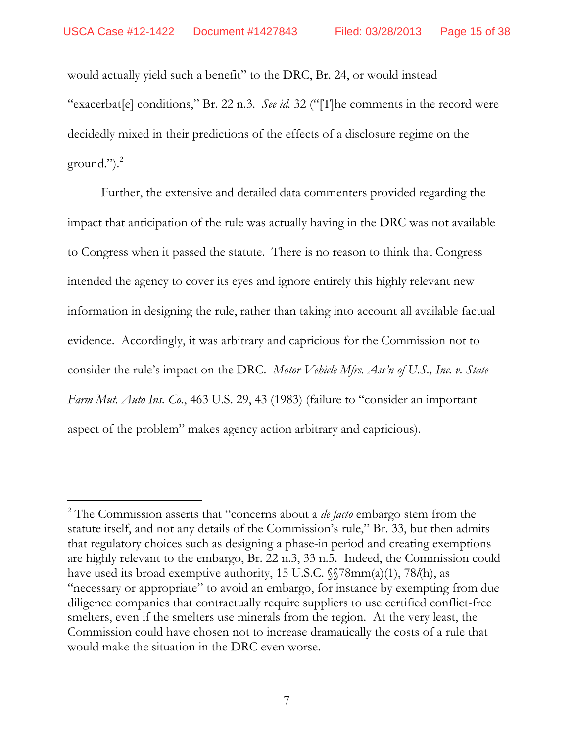$\overline{a}$ 

would actually yield such a benefit" to the DRC, Br. 24, or would instead "exacerbat[e] conditions," Br. 22 n.3. *See id.* 32 ("[T]he comments in the record were decidedly mixed in their predictions of the effects of a disclosure regime on the ground."). $^{2}$ 

Further, the extensive and detailed data commenters provided regarding the impact that anticipation of the rule was actually having in the DRC was not available to Congress when it passed the statute. There is no reason to think that Congress intended the agency to cover its eyes and ignore entirely this highly relevant new information in designing the rule, rather than taking into account all available factual evidence. Accordingly, it was arbitrary and capricious for the Commission not to consider the rule's impact on the DRC. *Motor Vehicle Mfrs. Ass'n of U.S., Inc. v. State Farm Mut. Auto Ins. Co.*, 463 U.S. 29, 43 (1983) (failure to "consider an important aspect of the problem" makes agency action arbitrary and capricious).

<sup>2</sup> The Commission asserts that "concerns about a *de facto* embargo stem from the statute itself, and not any details of the Commission's rule," Br. 33, but then admits that regulatory choices such as designing a phase-in period and creating exemptions are highly relevant to the embargo, Br. 22 n.3, 33 n.5. Indeed, the Commission could have used its broad exemptive authority, 15 U.S.C. §§78mm(a)(1), 78*l*(h), as "necessary or appropriate" to avoid an embargo, for instance by exempting from due diligence companies that contractually require suppliers to use certified conflict-free smelters, even if the smelters use minerals from the region. At the very least, the Commission could have chosen not to increase dramatically the costs of a rule that would make the situation in the DRC even worse.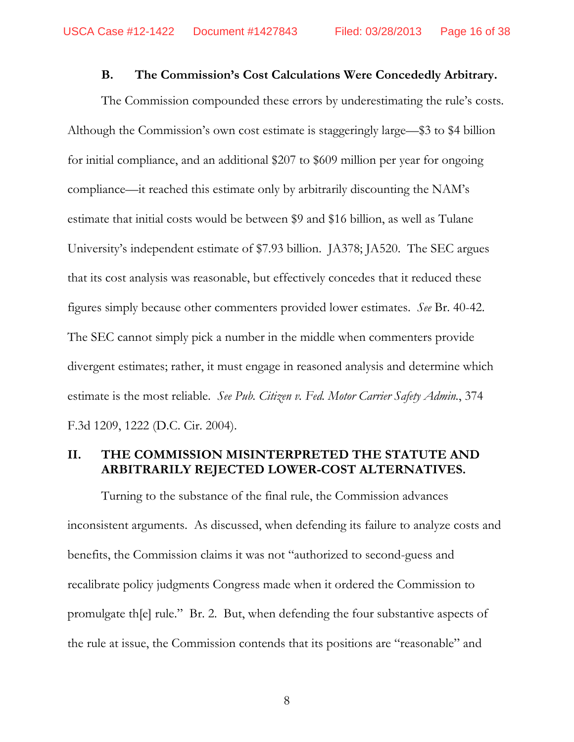### **B. The Commission's Cost Calculations Were Concededly Arbitrary.**

The Commission compounded these errors by underestimating the rule's costs. Although the Commission's own cost estimate is staggeringly large—\$3 to \$4 billion for initial compliance, and an additional \$207 to \$609 million per year for ongoing compliance—it reached this estimate only by arbitrarily discounting the NAM's estimate that initial costs would be between \$9 and \$16 billion, as well as Tulane University's independent estimate of \$7.93 billion. JA378; JA520. The SEC argues that its cost analysis was reasonable, but effectively concedes that it reduced these figures simply because other commenters provided lower estimates. *See* Br. 40-42. The SEC cannot simply pick a number in the middle when commenters provide divergent estimates; rather, it must engage in reasoned analysis and determine which estimate is the most reliable. *See Pub. Citizen v. Fed. Motor Carrier Safety Admin.*, 374 F.3d 1209, 1222 (D.C. Cir. 2004).

# **II. THE COMMISSION MISINTERPRETED THE STATUTE AND ARBITRARILY REJECTED LOWER-COST ALTERNATIVES.**

Turning to the substance of the final rule, the Commission advances inconsistent arguments. As discussed, when defending its failure to analyze costs and benefits, the Commission claims it was not "authorized to second-guess and recalibrate policy judgments Congress made when it ordered the Commission to promulgate th[e] rule." Br. 2. But, when defending the four substantive aspects of the rule at issue, the Commission contends that its positions are "reasonable" and

8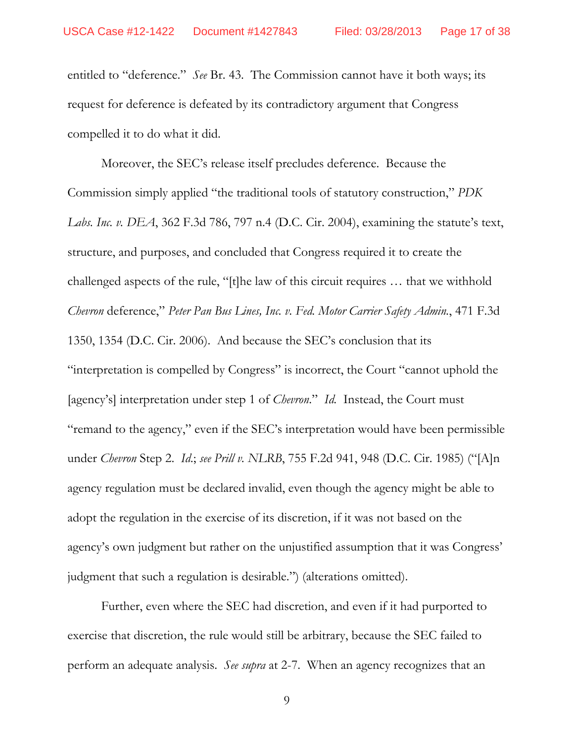entitled to "deference." *See* Br. 43. The Commission cannot have it both ways; its request for deference is defeated by its contradictory argument that Congress compelled it to do what it did.

Moreover, the SEC's release itself precludes deference. Because the Commission simply applied "the traditional tools of statutory construction," *PDK Labs. Inc. v. DEA*, 362 F.3d 786, 797 n.4 (D.C. Cir. 2004), examining the statute's text, structure, and purposes, and concluded that Congress required it to create the challenged aspects of the rule, "[t]he law of this circuit requires … that we withhold *Chevron* deference," *Peter Pan Bus Lines, Inc. v. Fed. Motor Carrier Safety Admin.*, 471 F.3d 1350, 1354 (D.C. Cir. 2006). And because the SEC's conclusion that its "interpretation is compelled by Congress" is incorrect, the Court "cannot uphold the [agency's] interpretation under step 1 of *Chevron*." *Id.* Instead, the Court must "remand to the agency," even if the SEC's interpretation would have been permissible under *Chevron* Step 2. *Id*.; *see Prill v. NLRB*, 755 F.2d 941, 948 (D.C. Cir. 1985) ("[A]n agency regulation must be declared invalid, even though the agency might be able to adopt the regulation in the exercise of its discretion, if it was not based on the agency's own judgment but rather on the unjustified assumption that it was Congress' judgment that such a regulation is desirable.") (alterations omitted).

Further, even where the SEC had discretion, and even if it had purported to exercise that discretion, the rule would still be arbitrary, because the SEC failed to perform an adequate analysis. *See supra* at 2-7. When an agency recognizes that an

9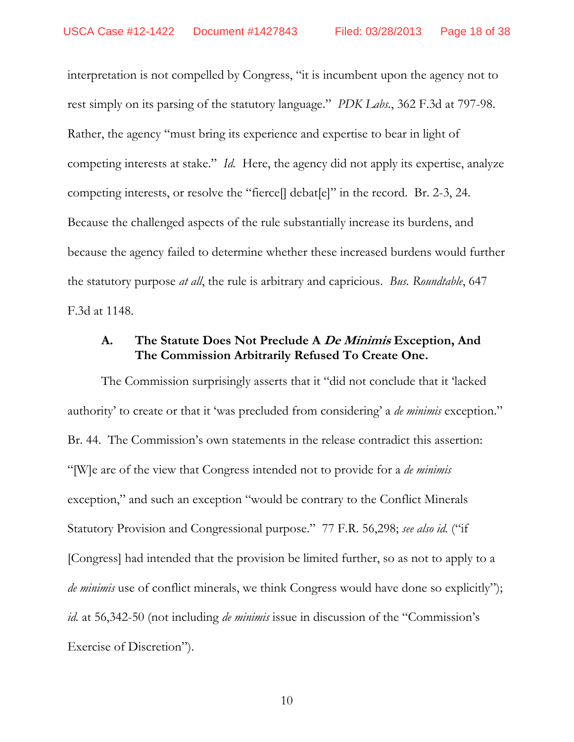interpretation is not compelled by Congress, "it is incumbent upon the agency not to rest simply on its parsing of the statutory language." *PDK Labs.*, 362 F.3d at 797-98. Rather, the agency "must bring its experience and expertise to bear in light of competing interests at stake." *Id.* Here, the agency did not apply its expertise, analyze competing interests, or resolve the "fierce[] debat[e]" in the record. Br. 2-3, 24. Because the challenged aspects of the rule substantially increase its burdens, and because the agency failed to determine whether these increased burdens would further the statutory purpose *at all*, the rule is arbitrary and capricious. *Bus. Roundtable*, 647 F.3d at 1148.

## **A. The Statute Does Not Preclude A De Minimis Exception, And The Commission Arbitrarily Refused To Create One.**

The Commission surprisingly asserts that it "did not conclude that it 'lacked authority' to create or that it 'was precluded from considering' a *de minimis* exception." Br. 44. The Commission's own statements in the release contradict this assertion: "[W]e are of the view that Congress intended not to provide for a *de minimis* exception," and such an exception "would be contrary to the Conflict Minerals Statutory Provision and Congressional purpose." 77 F.R. 56,298; *see also id.* ("if [Congress] had intended that the provision be limited further, so as not to apply to a *de minimis* use of conflict minerals, we think Congress would have done so explicitly"); *id.* at 56,342-50 (not including *de minimis* issue in discussion of the "Commission's Exercise of Discretion").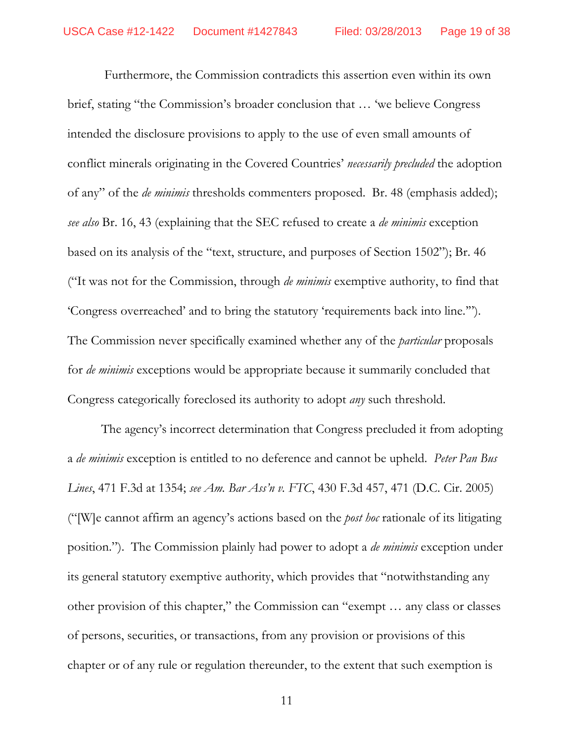Furthermore, the Commission contradicts this assertion even within its own brief, stating "the Commission's broader conclusion that … 'we believe Congress intended the disclosure provisions to apply to the use of even small amounts of conflict minerals originating in the Covered Countries' *necessarily precluded* the adoption of any" of the *de minimis* thresholds commenters proposed. Br. 48 (emphasis added); *see also* Br. 16, 43 (explaining that the SEC refused to create a *de minimis* exception based on its analysis of the "text, structure, and purposes of Section 1502"); Br. 46 ("It was not for the Commission, through *de minimis* exemptive authority, to find that 'Congress overreached' and to bring the statutory 'requirements back into line.'"). The Commission never specifically examined whether any of the *particular* proposals for *de minimis* exceptions would be appropriate because it summarily concluded that Congress categorically foreclosed its authority to adopt *any* such threshold.

The agency's incorrect determination that Congress precluded it from adopting a *de minimis* exception is entitled to no deference and cannot be upheld. *Peter Pan Bus Lines*, 471 F.3d at 1354; *see Am. Bar Ass'n v. FTC*, 430 F.3d 457, 471 (D.C. Cir. 2005) ("[W]e cannot affirm an agency's actions based on the *post hoc* rationale of its litigating position."). The Commission plainly had power to adopt a *de minimis* exception under its general statutory exemptive authority, which provides that "notwithstanding any other provision of this chapter," the Commission can "exempt … any class or classes of persons, securities, or transactions, from any provision or provisions of this chapter or of any rule or regulation thereunder, to the extent that such exemption is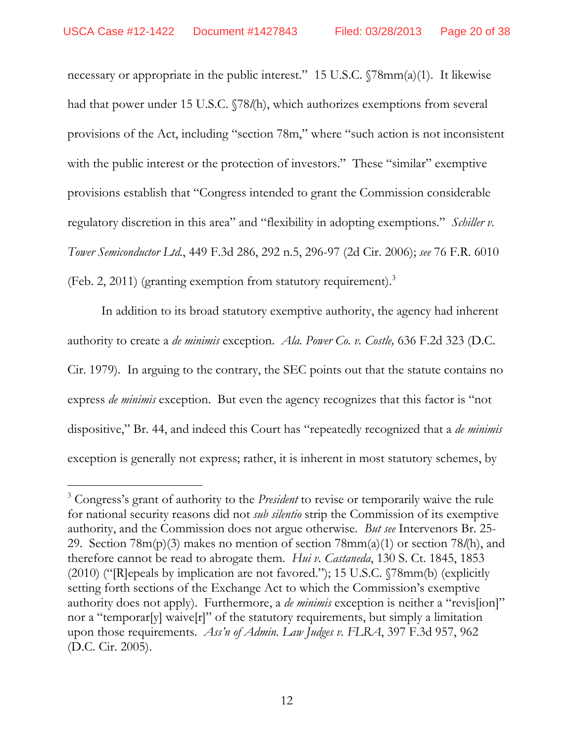-

necessary or appropriate in the public interest." 15 U.S.C. §78mm(a)(1). It likewise had that power under 15 U.S.C. §78*l*(h), which authorizes exemptions from several provisions of the Act, including "section 78m," where "such action is not inconsistent with the public interest or the protection of investors." These "similar" exemptive provisions establish that "Congress intended to grant the Commission considerable regulatory discretion in this area" and "flexibility in adopting exemptions." *Schiller v. Tower Semiconductor Ltd.*, 449 F.3d 286, 292 n.5, 296-97 (2d Cir. 2006); *see* 76 F.R. 6010 (Feb. 2, 2011) (granting exemption from statutory requirement).<sup>3</sup>

In addition to its broad statutory exemptive authority, the agency had inherent authority to create a *de minimis* exception. *Ala. Power Co. v. Costle,* 636 F.2d 323 (D.C. Cir. 1979). In arguing to the contrary, the SEC points out that the statute contains no express *de minimis* exception. But even the agency recognizes that this factor is "not dispositive," Br. 44, and indeed this Court has "repeatedly recognized that a *de minimis* exception is generally not express; rather, it is inherent in most statutory schemes, by

<sup>3</sup> Congress's grant of authority to the *President* to revise or temporarily waive the rule for national security reasons did not *sub silentio* strip the Commission of its exemptive authority, and the Commission does not argue otherwise. *But see* Intervenors Br. 25- 29. Section 78m(p)(3) makes no mention of section 78mm(a)(1) or section 78*l*(h), and therefore cannot be read to abrogate them. *Hui v. Castaneda*, 130 S. Ct. 1845, 1853 (2010) ("[R]epeals by implication are not favored."); 15 U.S.C. §78mm(b) (explicitly setting forth sections of the Exchange Act to which the Commission's exemptive authority does not apply). Furthermore, a *de minimis* exception is neither a "revis[ion]" nor a "temporar[y] waive[r]" of the statutory requirements, but simply a limitation upon those requirements. *Ass'n of Admin. Law Judges v. FLRA*, 397 F.3d 957, 962 (D.C. Cir. 2005).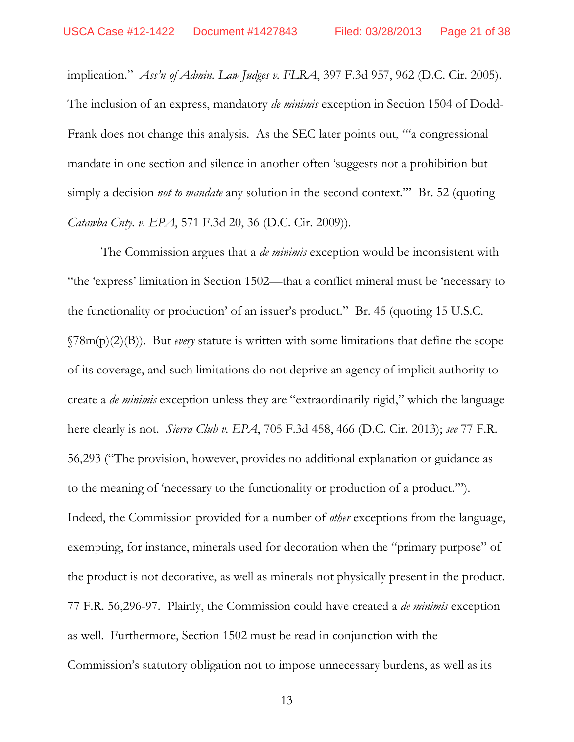implication." *Ass'n of Admin. Law Judges v. FLRA*, 397 F.3d 957, 962 (D.C. Cir. 2005). The inclusion of an express, mandatory *de minimis* exception in Section 1504 of Dodd-Frank does not change this analysis. As the SEC later points out, "'a congressional mandate in one section and silence in another often 'suggests not a prohibition but simply a decision *not to mandate* any solution in the second context.'" Br. 52 (quoting *Catawba Cnty. v. EPA*, 571 F.3d 20, 36 (D.C. Cir. 2009)).

The Commission argues that a *de minimis* exception would be inconsistent with "the 'express' limitation in Section 1502—that a conflict mineral must be 'necessary to the functionality or production' of an issuer's product." Br. 45 (quoting 15 U.S.C. §78m(p)(2)(B)). But *every* statute is written with some limitations that define the scope of its coverage, and such limitations do not deprive an agency of implicit authority to create a *de minimis* exception unless they are "extraordinarily rigid," which the language here clearly is not. *Sierra Club v. EPA*, 705 F.3d 458, 466 (D.C. Cir. 2013); *see* 77 F.R. 56,293 ("The provision, however, provides no additional explanation or guidance as to the meaning of 'necessary to the functionality or production of a product.'"). Indeed, the Commission provided for a number of *other* exceptions from the language, exempting, for instance, minerals used for decoration when the "primary purpose" of the product is not decorative, as well as minerals not physically present in the product. 77 F.R. 56,296-97. Plainly, the Commission could have created a *de minimis* exception as well. Furthermore, Section 1502 must be read in conjunction with the Commission's statutory obligation not to impose unnecessary burdens, as well as its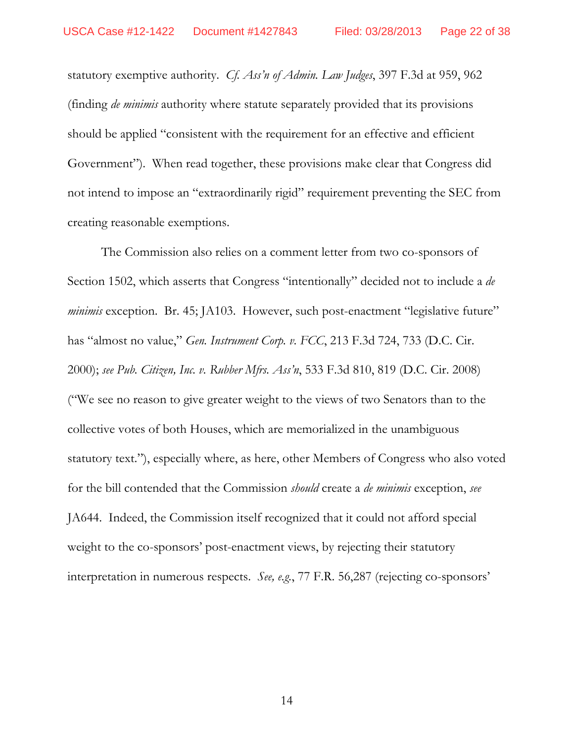statutory exemptive authority. *Cf. Ass'n of Admin. Law Judges*, 397 F.3d at 959, 962 (finding *de minimis* authority where statute separately provided that its provisions should be applied "consistent with the requirement for an effective and efficient Government"). When read together, these provisions make clear that Congress did not intend to impose an "extraordinarily rigid" requirement preventing the SEC from creating reasonable exemptions.

The Commission also relies on a comment letter from two co-sponsors of Section 1502, which asserts that Congress "intentionally" decided not to include a *de minimis* exception. Br. 45; JA103. However, such post-enactment "legislative future" has "almost no value," *Gen. Instrument Corp. v. FCC*, 213 F.3d 724, 733 (D.C. Cir. 2000); *see Pub. Citizen, Inc. v. Rubber Mfrs. Ass'n*, 533 F.3d 810, 819 (D.C. Cir. 2008) ("We see no reason to give greater weight to the views of two Senators than to the collective votes of both Houses, which are memorialized in the unambiguous statutory text."), especially where, as here, other Members of Congress who also voted for the bill contended that the Commission *should* create a *de minimis* exception, *see*  JA644. Indeed, the Commission itself recognized that it could not afford special weight to the co-sponsors' post-enactment views, by rejecting their statutory interpretation in numerous respects. *See, e.g.*, 77 F.R. 56,287 (rejecting co-sponsors'

14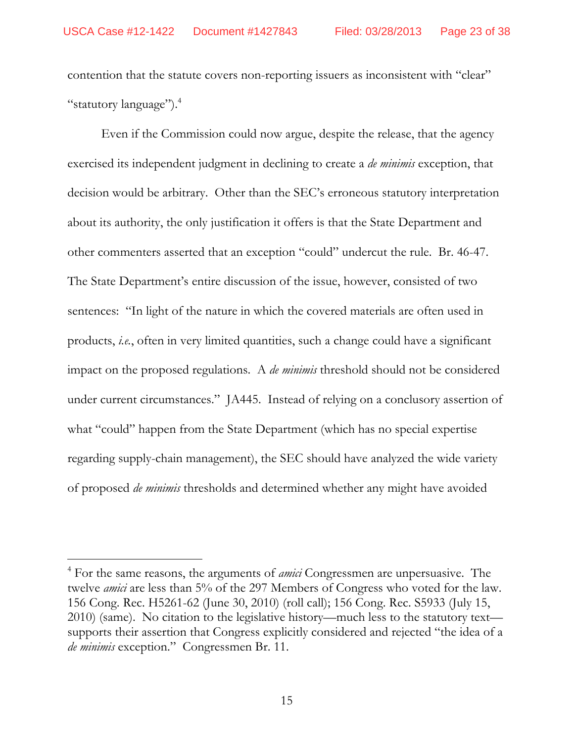contention that the statute covers non-reporting issuers as inconsistent with "clear" "statutory language").<sup>4</sup>

Even if the Commission could now argue, despite the release, that the agency exercised its independent judgment in declining to create a *de minimis* exception, that decision would be arbitrary. Other than the SEC's erroneous statutory interpretation about its authority, the only justification it offers is that the State Department and other commenters asserted that an exception "could" undercut the rule. Br. 46-47. The State Department's entire discussion of the issue, however, consisted of two sentences: "In light of the nature in which the covered materials are often used in products, *i.e.*, often in very limited quantities, such a change could have a significant impact on the proposed regulations. A *de minimis* threshold should not be considered under current circumstances." JA445. Instead of relying on a conclusory assertion of what "could" happen from the State Department (which has no special expertise regarding supply-chain management), the SEC should have analyzed the wide variety of proposed *de minimis* thresholds and determined whether any might have avoided

-

<sup>4</sup> For the same reasons, the arguments of *amici* Congressmen are unpersuasive. The twelve *amici* are less than 5% of the 297 Members of Congress who voted for the law. 156 Cong. Rec. H5261-62 (June 30, 2010) (roll call); 156 Cong. Rec. S5933 (July 15, 2010) (same). No citation to the legislative history—much less to the statutory text supports their assertion that Congress explicitly considered and rejected "the idea of a *de minimis* exception." Congressmen Br. 11.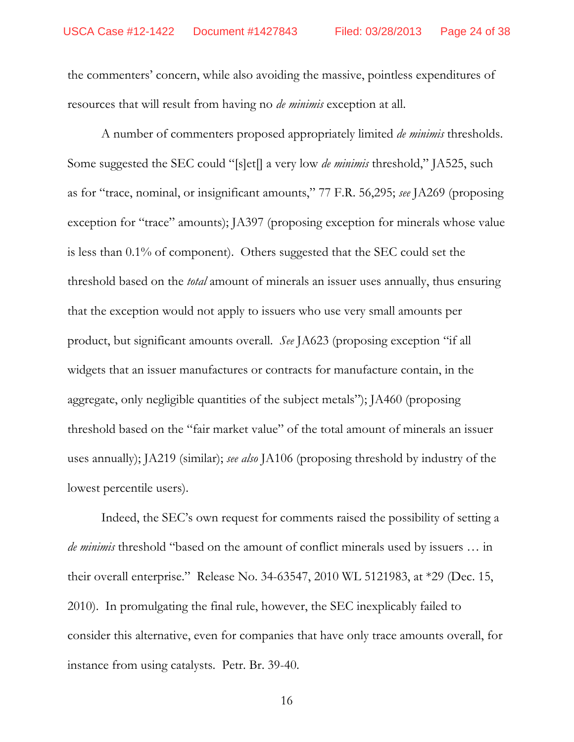the commenters' concern, while also avoiding the massive, pointless expenditures of resources that will result from having no *de minimis* exception at all.

A number of commenters proposed appropriately limited *de minimis* thresholds. Some suggested the SEC could "[s]et[] a very low *de minimis* threshold," JA525, such as for "trace, nominal, or insignificant amounts," 77 F.R. 56,295; *see* JA269 (proposing exception for "trace" amounts); JA397 (proposing exception for minerals whose value is less than 0.1% of component). Others suggested that the SEC could set the threshold based on the *total* amount of minerals an issuer uses annually, thus ensuring that the exception would not apply to issuers who use very small amounts per product, but significant amounts overall. *See* JA623 (proposing exception "if all widgets that an issuer manufactures or contracts for manufacture contain, in the aggregate, only negligible quantities of the subject metals"); JA460 (proposing threshold based on the "fair market value" of the total amount of minerals an issuer uses annually); JA219 (similar); *see also* JA106 (proposing threshold by industry of the lowest percentile users).

Indeed, the SEC's own request for comments raised the possibility of setting a *de minimis* threshold "based on the amount of conflict minerals used by issuers … in their overall enterprise." Release No. 34-63547, 2010 WL 5121983, at \*29 (Dec. 15, 2010). In promulgating the final rule, however, the SEC inexplicably failed to consider this alternative, even for companies that have only trace amounts overall, for instance from using catalysts. Petr. Br. 39-40.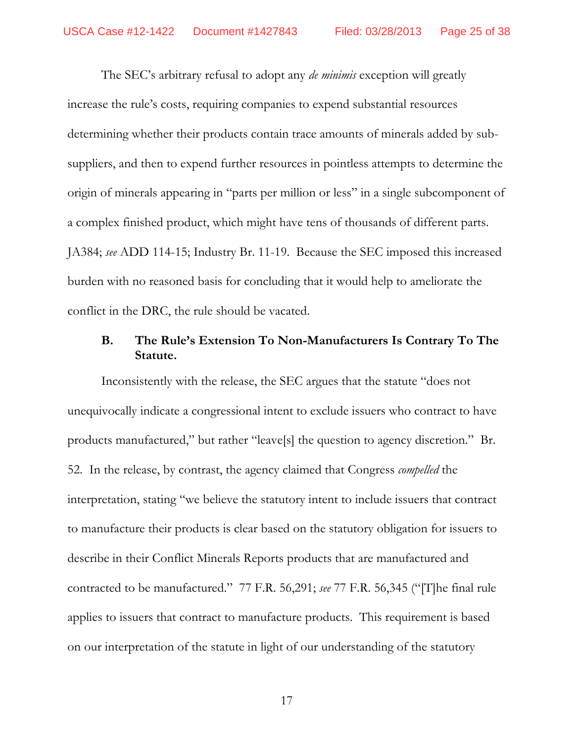The SEC's arbitrary refusal to adopt any *de minimis* exception will greatly increase the rule's costs, requiring companies to expend substantial resources determining whether their products contain trace amounts of minerals added by subsuppliers, and then to expend further resources in pointless attempts to determine the origin of minerals appearing in "parts per million or less" in a single subcomponent of a complex finished product, which might have tens of thousands of different parts. JA384; *see* ADD 114-15; Industry Br. 11-19. Because the SEC imposed this increased burden with no reasoned basis for concluding that it would help to ameliorate the conflict in the DRC, the rule should be vacated.

# **B. The Rule's Extension To Non-Manufacturers Is Contrary To The Statute.**

Inconsistently with the release, the SEC argues that the statute "does not unequivocally indicate a congressional intent to exclude issuers who contract to have products manufactured," but rather "leave[s] the question to agency discretion." Br. 52. In the release, by contrast, the agency claimed that Congress *compelled* the interpretation, stating "we believe the statutory intent to include issuers that contract to manufacture their products is clear based on the statutory obligation for issuers to describe in their Conflict Minerals Reports products that are manufactured and contracted to be manufactured." 77 F.R. 56,291; *see* 77 F.R. 56,345 ("[T]he final rule applies to issuers that contract to manufacture products. This requirement is based on our interpretation of the statute in light of our understanding of the statutory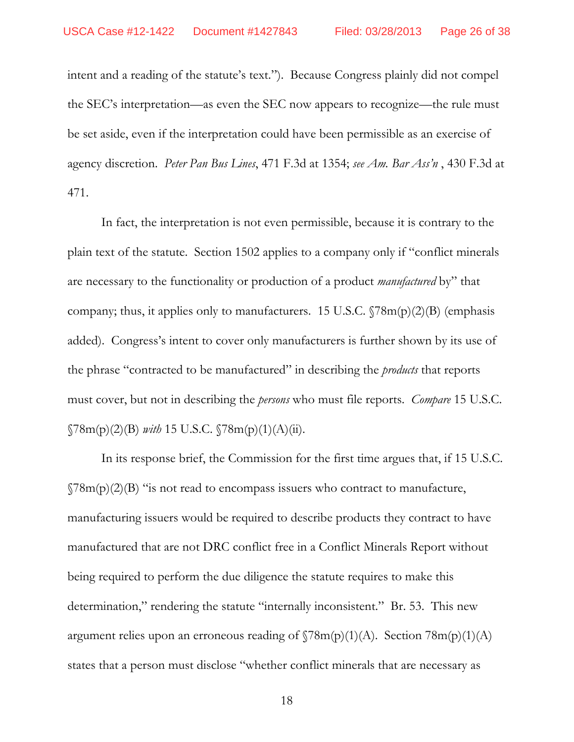intent and a reading of the statute's text."). Because Congress plainly did not compel the SEC's interpretation—as even the SEC now appears to recognize—the rule must be set aside, even if the interpretation could have been permissible as an exercise of agency discretion. *Peter Pan Bus Lines*, 471 F.3d at 1354; *see Am. Bar Ass'n* , 430 F.3d at 471.

In fact, the interpretation is not even permissible, because it is contrary to the plain text of the statute. Section 1502 applies to a company only if "conflict minerals are necessary to the functionality or production of a product *manufactured* by" that company; thus, it applies only to manufacturers. 15 U.S.C.  $\sqrt{78m(p)(2)}$  (emphasis added). Congress's intent to cover only manufacturers is further shown by its use of the phrase "contracted to be manufactured" in describing the *products* that reports must cover, but not in describing the *persons* who must file reports. *Compare* 15 U.S.C. §78m(p)(2)(B) *with* 15 U.S.C. §78m(p)(1)(A)(ii).

In its response brief, the Commission for the first time argues that, if 15 U.S.C.  $\gamma$ 8m(p)(2)(B) "is not read to encompass issuers who contract to manufacture, manufacturing issuers would be required to describe products they contract to have manufactured that are not DRC conflict free in a Conflict Minerals Report without being required to perform the due diligence the statute requires to make this determination," rendering the statute "internally inconsistent." Br. 53. This new argument relies upon an erroneous reading of  $\Im 8m(p)(1)(A)$ . Section  $78m(p)(1)(A)$ states that a person must disclose "whether conflict minerals that are necessary as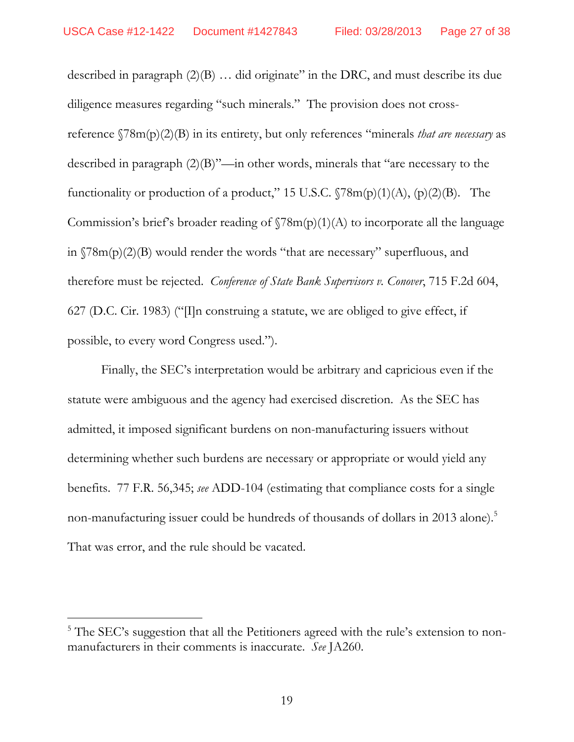described in paragraph (2)(B) … did originate" in the DRC, and must describe its due diligence measures regarding "such minerals." The provision does not crossreference §78m(p)(2)(B) in its entirety, but only references "minerals *that are necessary* as described in paragraph (2)(B)"—in other words, minerals that "are necessary to the functionality or production of a product," 15 U.S.C.  $\sqrt{78m(p)(1)(A)}$ ,  $(p)(2)(B)$ . The Commission's brief's broader reading of  $\Gamma(78m(p)(1)(A)$  to incorporate all the language in §78m(p)(2)(B) would render the words "that are necessary" superfluous, and therefore must be rejected. *Conference of State Bank Supervisors v. Conover*, 715 F.2d 604, 627 (D.C. Cir. 1983) (" $\Pi$ n construing a statute, we are obliged to give effect, if possible, to every word Congress used.").

Finally, the SEC's interpretation would be arbitrary and capricious even if the statute were ambiguous and the agency had exercised discretion. As the SEC has admitted, it imposed significant burdens on non-manufacturing issuers without determining whether such burdens are necessary or appropriate or would yield any benefits. 77 F.R. 56,345; *see* ADD-104 (estimating that compliance costs for a single non-manufacturing issuer could be hundreds of thousands of dollars in 2013 alone).<sup>5</sup> That was error, and the rule should be vacated.

 $\overline{a}$ 

<sup>&</sup>lt;sup>5</sup> The SEC's suggestion that all the Petitioners agreed with the rule's extension to nonmanufacturers in their comments is inaccurate. *See* JA260.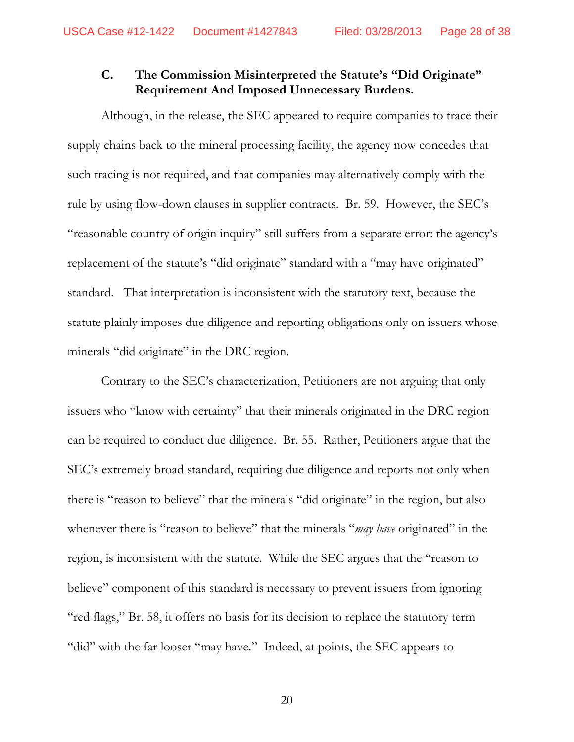# **C. The Commission Misinterpreted the Statute's "Did Originate" Requirement And Imposed Unnecessary Burdens.**

Although, in the release, the SEC appeared to require companies to trace their supply chains back to the mineral processing facility, the agency now concedes that such tracing is not required, and that companies may alternatively comply with the rule by using flow-down clauses in supplier contracts. Br. 59. However, the SEC's "reasonable country of origin inquiry" still suffers from a separate error: the agency's replacement of the statute's "did originate" standard with a "may have originated" standard. That interpretation is inconsistent with the statutory text, because the statute plainly imposes due diligence and reporting obligations only on issuers whose minerals "did originate" in the DRC region.

Contrary to the SEC's characterization, Petitioners are not arguing that only issuers who "know with certainty" that their minerals originated in the DRC region can be required to conduct due diligence. Br. 55. Rather, Petitioners argue that the SEC's extremely broad standard, requiring due diligence and reports not only when there is "reason to believe" that the minerals "did originate" in the region, but also whenever there is "reason to believe" that the minerals "*may have* originated" in the region, is inconsistent with the statute. While the SEC argues that the "reason to believe" component of this standard is necessary to prevent issuers from ignoring "red flags," Br. 58, it offers no basis for its decision to replace the statutory term "did" with the far looser "may have." Indeed, at points, the SEC appears to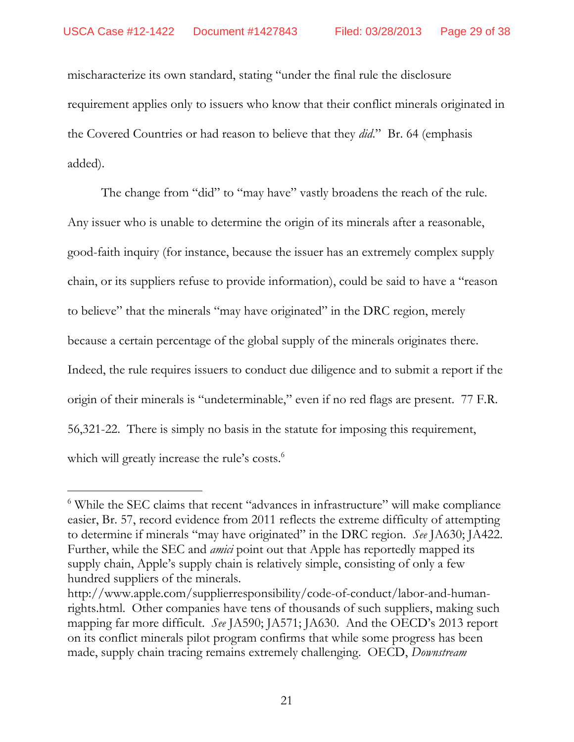mischaracterize its own standard, stating "under the final rule the disclosure requirement applies only to issuers who know that their conflict minerals originated in the Covered Countries or had reason to believe that they *did*." Br. 64 (emphasis added).

The change from "did" to "may have" vastly broadens the reach of the rule. Any issuer who is unable to determine the origin of its minerals after a reasonable, good-faith inquiry (for instance, because the issuer has an extremely complex supply chain, or its suppliers refuse to provide information), could be said to have a "reason to believe" that the minerals "may have originated" in the DRC region, merely because a certain percentage of the global supply of the minerals originates there. Indeed, the rule requires issuers to conduct due diligence and to submit a report if the origin of their minerals is "undeterminable," even if no red flags are present. 77 F.R. 56,321-22. There is simply no basis in the statute for imposing this requirement, which will greatly increase the rule's costs.<sup>6</sup>

 $\overline{a}$ 

<sup>&</sup>lt;sup>6</sup> While the SEC claims that recent "advances in infrastructure" will make compliance easier, Br. 57, record evidence from 2011 reflects the extreme difficulty of attempting to determine if minerals "may have originated" in the DRC region. *See* JA630; JA422. Further, while the SEC and *amici* point out that Apple has reportedly mapped its supply chain, Apple's supply chain is relatively simple, consisting of only a few hundred suppliers of the minerals.

http://www.apple.com/supplierresponsibility/code-of-conduct/labor-and-humanrights.html. Other companies have tens of thousands of such suppliers, making such mapping far more difficult. *See* JA590; JA571; JA630. And the OECD's 2013 report on its conflict minerals pilot program confirms that while some progress has been made, supply chain tracing remains extremely challenging.OECD, *Downstream*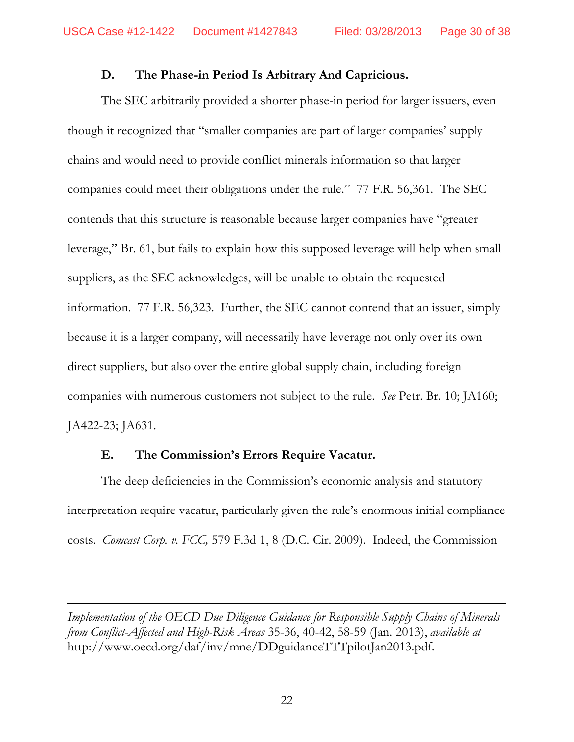#### **D. The Phase-in Period Is Arbitrary And Capricious.**

The SEC arbitrarily provided a shorter phase-in period for larger issuers, even though it recognized that "smaller companies are part of larger companies' supply chains and would need to provide conflict minerals information so that larger companies could meet their obligations under the rule." 77 F.R. 56,361. The SEC contends that this structure is reasonable because larger companies have "greater leverage," Br. 61, but fails to explain how this supposed leverage will help when small suppliers, as the SEC acknowledges, will be unable to obtain the requested information. 77 F.R. 56,323. Further, the SEC cannot contend that an issuer, simply because it is a larger company, will necessarily have leverage not only over its own direct suppliers, but also over the entire global supply chain, including foreign companies with numerous customers not subject to the rule. *See* Petr. Br. 10; JA160; JA422-23; JA631.

#### **E. The Commission's Errors Require Vacatur.**

-

The deep deficiencies in the Commission's economic analysis and statutory interpretation require vacatur, particularly given the rule's enormous initial compliance costs. *Comcast Corp. v. FCC,* 579 F.3d 1, 8 (D.C. Cir. 2009). Indeed, the Commission

*Implementation of the OECD Due Diligence Guidance for Responsible Supply Chains of Minerals from Conflict-Affected and High-Risk Areas* 35-36, 40-42, 58-59 (Jan. 2013), *available at* http://www.oecd.org/daf/inv/mne/DDguidanceTTTpilotJan2013.pdf.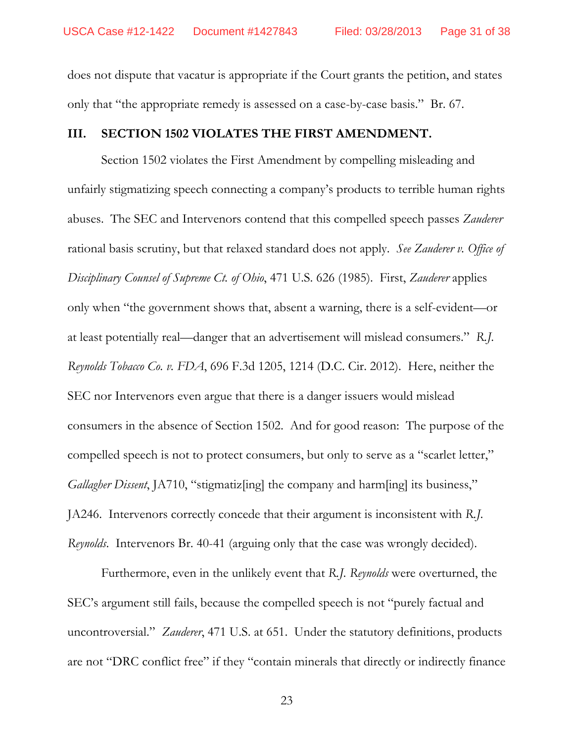does not dispute that vacatur is appropriate if the Court grants the petition, and states only that "the appropriate remedy is assessed on a case-by-case basis." Br. 67.

#### **III. SECTION 1502 VIOLATES THE FIRST AMENDMENT.**

Section 1502 violates the First Amendment by compelling misleading and unfairly stigmatizing speech connecting a company's products to terrible human rights abuses. The SEC and Intervenors contend that this compelled speech passes *Zauderer* rational basis scrutiny, but that relaxed standard does not apply. *See Zauderer v. Office of Disciplinary Counsel of Supreme Ct. of Ohio*, 471 U.S. 626 (1985). First, *Zauderer* applies only when "the government shows that, absent a warning, there is a self-evident—or at least potentially real—danger that an advertisement will mislead consumers." *R.J. Reynolds Tobacco Co. v. FDA*, 696 F.3d 1205, 1214 (D.C. Cir. 2012). Here, neither the SEC nor Intervenors even argue that there is a danger issuers would mislead consumers in the absence of Section 1502. And for good reason: The purpose of the compelled speech is not to protect consumers, but only to serve as a "scarlet letter," *Gallagher Dissent*, JA710, "stigmatiz[ing] the company and harm[ing] its business," JA246. Intervenors correctly concede that their argument is inconsistent with *R.J. Reynolds*. Intervenors Br. 40-41 (arguing only that the case was wrongly decided).

Furthermore, even in the unlikely event that *R.J. Reynolds* were overturned, the SEC's argument still fails, because the compelled speech is not "purely factual and uncontroversial." *Zauderer*, 471 U.S. at 651. Under the statutory definitions, products are not "DRC conflict free" if they "contain minerals that directly or indirectly finance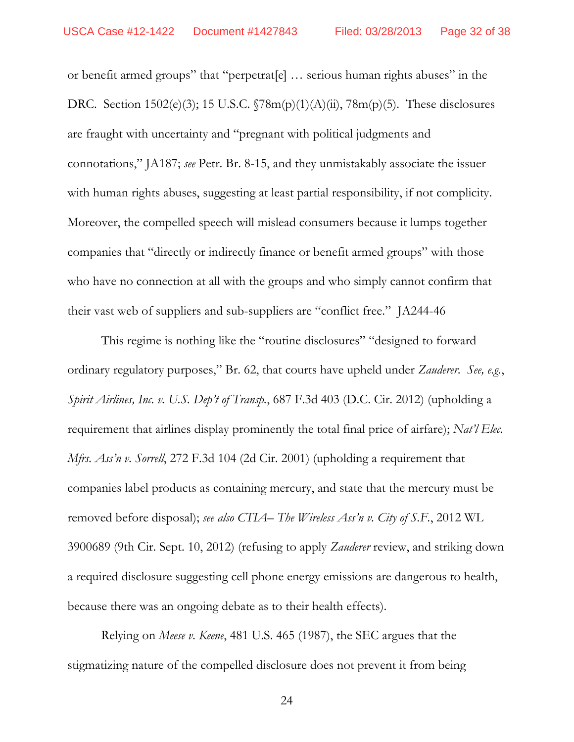or benefit armed groups" that "perpetrat[e] … serious human rights abuses" in the DRC. Section 1502(e)(3); 15 U.S.C. §78m(p)(1)(A)(ii), 78m(p)(5). These disclosures are fraught with uncertainty and "pregnant with political judgments and connotations," JA187; *see* Petr. Br. 8-15, and they unmistakably associate the issuer with human rights abuses, suggesting at least partial responsibility, if not complicity. Moreover, the compelled speech will mislead consumers because it lumps together companies that "directly or indirectly finance or benefit armed groups" with those who have no connection at all with the groups and who simply cannot confirm that their vast web of suppliers and sub-suppliers are "conflict free." JA244-46

This regime is nothing like the "routine disclosures" "designed to forward ordinary regulatory purposes," Br. 62, that courts have upheld under *Zauderer*. *See, e.g.*, *Spirit Airlines, Inc. v. U.S. Dep't of Transp.*, 687 F.3d 403 (D.C. Cir. 2012) (upholding a requirement that airlines display prominently the total final price of airfare); *Nat'l Elec. Mfrs. Ass'n v. Sorrell*, 272 F.3d 104 (2d Cir. 2001) (upholding a requirement that companies label products as containing mercury, and state that the mercury must be removed before disposal); *see also CTIA– The Wireless Ass'n v. City of S.F.*, 2012 WL 3900689 (9th Cir. Sept. 10, 2012) (refusing to apply *Zauderer* review, and striking down a required disclosure suggesting cell phone energy emissions are dangerous to health, because there was an ongoing debate as to their health effects).

Relying on *Meese v. Keene*, 481 U.S. 465 (1987), the SEC argues that the stigmatizing nature of the compelled disclosure does not prevent it from being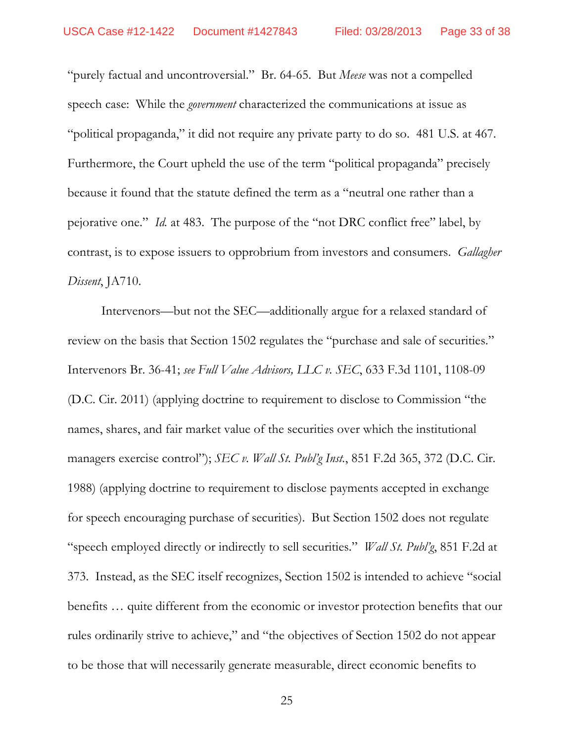"purely factual and uncontroversial." Br. 64-65. But *Meese* was not a compelled speech case: While the *government* characterized the communications at issue as "political propaganda," it did not require any private party to do so. 481 U.S. at 467. Furthermore, the Court upheld the use of the term "political propaganda" precisely because it found that the statute defined the term as a "neutral one rather than a pejorative one." *Id.* at 483. The purpose of the "not DRC conflict free" label, by contrast, is to expose issuers to opprobrium from investors and consumers. *Gallagher Dissent*, JA710.

Intervenors—but not the SEC—additionally argue for a relaxed standard of review on the basis that Section 1502 regulates the "purchase and sale of securities." Intervenors Br. 36-41; *see Full Value Advisors, LLC v. SEC*, 633 F.3d 1101, 1108-09 (D.C. Cir. 2011) (applying doctrine to requirement to disclose to Commission "the names, shares, and fair market value of the securities over which the institutional managers exercise control"); *SEC v. Wall St. Publ'g Inst.*, 851 F.2d 365, 372 (D.C. Cir. 1988) (applying doctrine to requirement to disclose payments accepted in exchange for speech encouraging purchase of securities). But Section 1502 does not regulate "speech employed directly or indirectly to sell securities." *Wall St. Publ'g*, 851 F.2d at 373. Instead, as the SEC itself recognizes, Section 1502 is intended to achieve "social benefits … quite different from the economic or investor protection benefits that our rules ordinarily strive to achieve," and "the objectives of Section 1502 do not appear to be those that will necessarily generate measurable, direct economic benefits to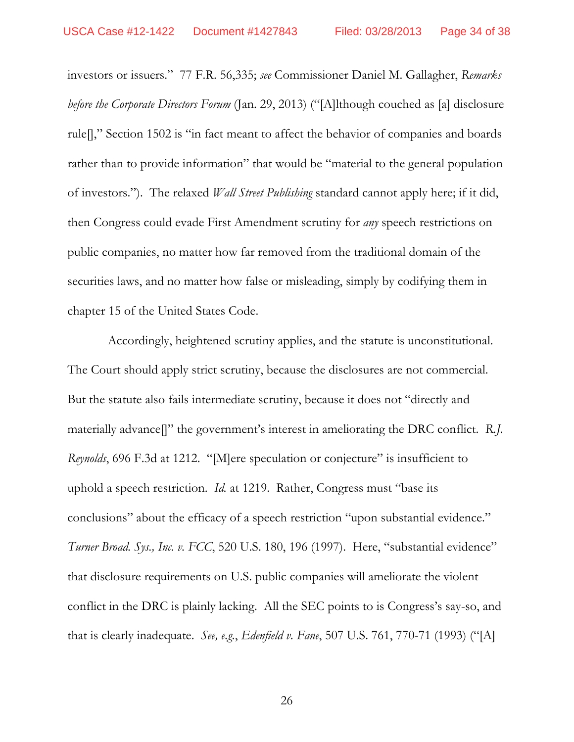investors or issuers." 77 F.R. 56,335; *see* Commissioner Daniel M. Gallagher, *Remarks before the Corporate Directors Forum* (Jan. 29, 2013) ("[A]lthough couched as [a] disclosure rule[]," Section 1502 is "in fact meant to affect the behavior of companies and boards rather than to provide information" that would be "material to the general population of investors."). The relaxed *Wall Street Publishing* standard cannot apply here; if it did, then Congress could evade First Amendment scrutiny for *any* speech restrictions on public companies, no matter how far removed from the traditional domain of the securities laws, and no matter how false or misleading, simply by codifying them in chapter 15 of the United States Code.

 Accordingly, heightened scrutiny applies, and the statute is unconstitutional. The Court should apply strict scrutiny, because the disclosures are not commercial. But the statute also fails intermediate scrutiny, because it does not "directly and materially advance[]" the government's interest in ameliorating the DRC conflict. *R.J. Reynolds*, 696 F.3d at 1212. "[M]ere speculation or conjecture" is insufficient to uphold a speech restriction. *Id.* at 1219. Rather, Congress must "base its conclusions" about the efficacy of a speech restriction "upon substantial evidence." *Turner Broad. Sys., Inc. v. FCC*, 520 U.S. 180, 196 (1997). Here, "substantial evidence" that disclosure requirements on U.S. public companies will ameliorate the violent conflict in the DRC is plainly lacking. All the SEC points to is Congress's say-so, and that is clearly inadequate. *See, e.g.*, *Edenfield v. Fane*, 507 U.S. 761, 770-71 (1993) ("[A]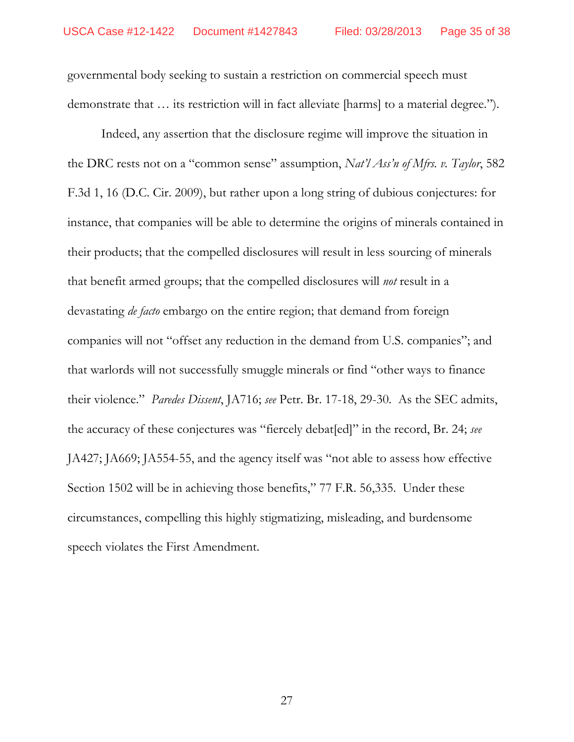governmental body seeking to sustain a restriction on commercial speech must demonstrate that … its restriction will in fact alleviate [harms] to a material degree.").

Indeed, any assertion that the disclosure regime will improve the situation in the DRC rests not on a "common sense" assumption, *Nat'l Ass'n of Mfrs. v. Taylor*, 582 F.3d 1, 16 (D.C. Cir. 2009), but rather upon a long string of dubious conjectures: for instance, that companies will be able to determine the origins of minerals contained in their products; that the compelled disclosures will result in less sourcing of minerals that benefit armed groups; that the compelled disclosures will *not* result in a devastating *de facto* embargo on the entire region; that demand from foreign companies will not "offset any reduction in the demand from U.S. companies"; and that warlords will not successfully smuggle minerals or find "other ways to finance their violence." *Paredes Dissent*, JA716; *see* Petr. Br. 17-18, 29-30. As the SEC admits, the accuracy of these conjectures was "fiercely debat[ed]" in the record, Br. 24; *see* JA427; JA669; JA554-55, and the agency itself was "not able to assess how effective Section 1502 will be in achieving those benefits," 77 F.R. 56,335. Under these circumstances, compelling this highly stigmatizing, misleading, and burdensome speech violates the First Amendment.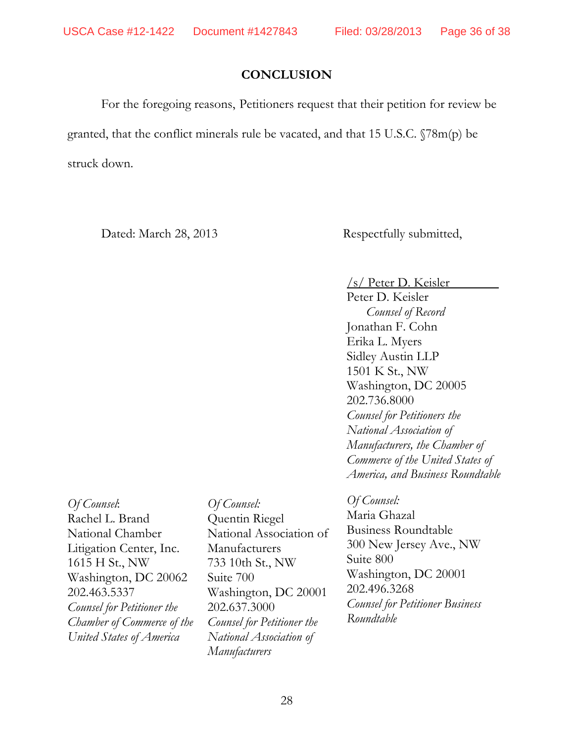# **CONCLUSION**

For the foregoing reasons, Petitioners request that their petition for review be granted, that the conflict minerals rule be vacated, and that 15 U.S.C. §78m(p) be struck down.

Dated: March 28, 2013 Respectfully submitted,

/s/ Peter D. Keisler

Peter D. Keisler *Counsel of Record*  Jonathan F. Cohn Erika L. Myers Sidley Austin LLP 1501 K St., NW Washington, DC 20005 202.736.8000 *Counsel for Petitioners the National Association of Manufacturers, the Chamber of Commerce of the United States of America, and Business Roundtable* 

*Of Counsel*: Rachel L. Brand National Chamber Litigation Center, Inc. 1615 H St., NW Washington, DC 20062 202.463.5337 *Counsel for Petitioner the Chamber of Commerce of the United States of America*

*Of Counsel:*  Quentin Riegel National Association of Manufacturers 733 10th St., NW Suite 700 Washington, DC 20001 202.637.3000 *Counsel for Petitioner the National Association of Manufacturers* 

*Of Counsel:* 

Maria Ghazal Business Roundtable 300 New Jersey Ave., NW Suite 800 Washington, DC 20001 202.496.3268 *Counsel for Petitioner Business Roundtable*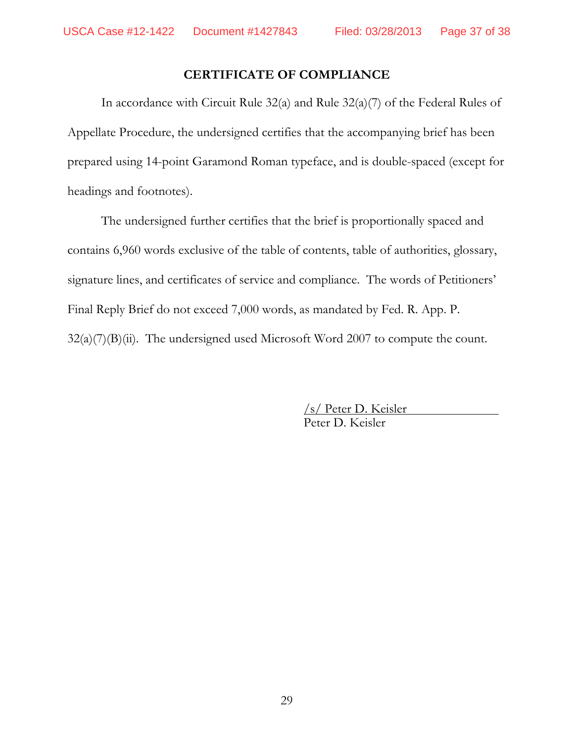# **CERTIFICATE OF COMPLIANCE**

In accordance with Circuit Rule 32(a) and Rule 32(a)(7) of the Federal Rules of Appellate Procedure, the undersigned certifies that the accompanying brief has been prepared using 14-point Garamond Roman typeface, and is double-spaced (except for headings and footnotes).

The undersigned further certifies that the brief is proportionally spaced and contains 6,960 words exclusive of the table of contents, table of authorities, glossary, signature lines, and certificates of service and compliance. The words of Petitioners' Final Reply Brief do not exceed 7,000 words, as mandated by Fed. R. App. P.  $32(a)(7)(B)(ii)$ . The undersigned used Microsoft Word 2007 to compute the count.

> /s/ Peter D. Keisler Peter D. Keisler